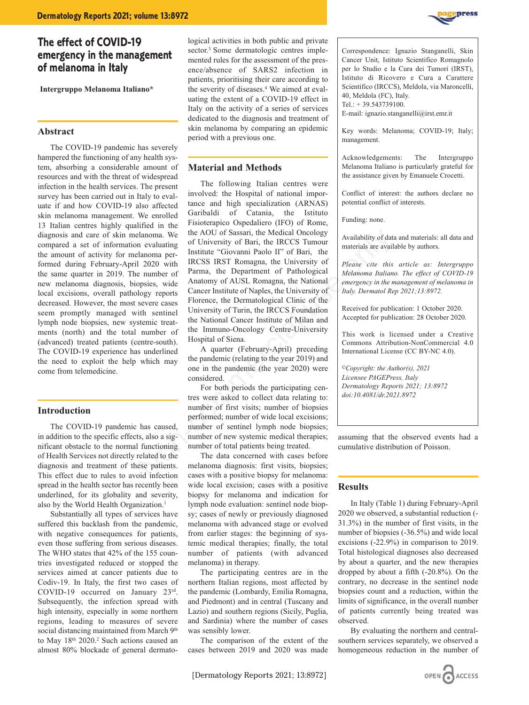# **The effect of COVID-19 emergency in the management of melanoma in Italy**

**Intergruppo Melanoma Italiano\***

## **Abstract**

The COVID-19 pandemic has severely hampered the functioning of any health system, absorbing a considerable amount of resources and with the threat of widespread infection in the health services. The present survey has been carried out in Italy to evaluate if and how COVID-19 also affected skin melanoma management. We enrolled 13 Italian centres highly qualified in the diagnosis and care of skin melanoma. We compared a set of information evaluating the amount of activity for melanoma performed during February-April 2020 with the same quarter in 2019. The number of new melanoma diagnosis, biopsies, wide local excisions, overall pathology reports decreased. However, the most severe cases seem promptly managed with sentinel lymph node biopsies, new systemic treatments (north) and the total number of (advanced) treated patients (centre-south). The COVID-19 experience has underlined the need to exploit the help which may come from telemedicine.

# **Introduction**

The COVID-19 pandemic has caused, in addition to the specific effects, also a significant obstacle to the normal functioning of Health Services not directly related to the diagnosis and treatment of these patients. This effect due to rules to avoid infection spread in the health sector has recently been underlined, for its globality and severity, also by the World Health Organization.<sup>1</sup>

Substantially all types of services have suffered this backlash from the pandemic, with negative consequences for patients, even those suffering from serious diseases. The WHO states that 42% of the 155 countries investigated reduced or stopped the services aimed at cancer patients due to Codiv-19. In Italy, the first two cases of COVID-19 occurred on January 23rd. Subsequently, the infection spread with high intensity, especially in some northern regions, leading to measures of severe social distancing maintained from March 9th to May 18th 2020.2 Such actions caused an almost 80% blockade of general dermatological activities in both public and private sector.<sup>3</sup> Some dermatologic centres implemented rules for the assessment of the presence/absence of SARS2 infection in patients, prioritising their care according to the severity of diseases.<sup>4</sup> We aimed at evaluating the extent of a COVID-19 effect in Italy on the activity of a series of services dedicated to the diagnosis and treatment of skin melanoma by comparing an epidemic period with a previous one.

# **Material and Methods**

The following Italian centres were involved: the Hospital of national importance and high specialization (ARNAS) Garibaldi of Catania, the Istituto Fisioterapico Ospedaliero (IFO) of Rome, the AOU of Sassari, the Medical Oncology of University of Bari, the IRCCS Tumour Institute "Giovanni Paolo II" of Bari, the IRCSS IRST Romagna, the University of Parma, the Department of Pathological Anatomy of AUSL Romagna, the National Cancer Institute of Naples, the University of Florence, the Dermatological Clinic of the University of Turin, the IRCCS Foundation the National Cancer Institute of Milan and the Immuno-Oncology Centre-University Hospital of Siena. Example of University of Fassari, the Medical Oncology<br>
alanoma erevinte in evaluating of University of Bari, the IRCCS Tunour IRCSS IRST Romagna, the University of Heaster are availability of data<br>
alanoma per-<br>
Institut

A quarter (February-April) preceding the pandemic (relating to the year 2019) and one in the pandemic (the year 2020) were considered.

For both periods the participating centres were asked to collect data relating to: number of first visits; number of biopsies performed; number of wide local excisions; number of sentinel lymph node biopsies; number of new systemic medical therapies; number of total patients being treated.

The data concerned with cases before melanoma diagnosis: first visits, biopsies; cases with a positive biopsy for melanoma: wide local excision; cases with a positive biopsy for melanoma and indication for lymph node evaluation: sentinel node biopsy; cases of newly or previously diagnosed melanoma with advanced stage or evolved from earlier stages: the beginning of systemic medical therapies; finally, the total number of patients (with advanced melanoma) in therapy.

The participating centres are in the northern Italian regions, most affected by the pandemic (Lombardy, Emilia Romagna, and Piedmont) and in central (Tuscany and Lazio) and southern regions (Sicily, Puglia, and Sardinia) where the number of cases was sensibly lower.

The comparison of the extent of the cases between 2019 and 2020 was made



Correspondence: Ignazio Stanganelli, Skin Cancer Unit, Istituto Scientifico Romagnolo per lo Studio e la Cura dei Tumori (IRST), Istituto di Ricovero e Cura a Carattere Scientifico (IRCCS), Meldola, via Maroncelli, 40, Meldola (FC), Italy. Tel.: + 39.543739100.

E-mail: ignazio.stanganelli@irst.emr.it

Key words: Melanoma; COVID-19; Italy; management.

Acknowledgements: The Intergruppo Melanoma Italiano is particularly grateful for the assistance given by Emanuele Crocetti.

Conflict of interest: the authors declare no potential conflict of interests.

Funding: none.

Availability of data and materials: all data and materials are available by authors.

*Please cite this article as: Intergruppo Melanoma Italiano. The effect of COVID-19 emergency in the management of melanoma in Italy. Dermatol Rep 2021;13:8972.*

Received for publication: 1 October 2020. Accepted for publication: 28 October 2020.

This work is licensed under a Creative Commons Attribution-NonCommercial 4.0 International License (CC BY-NC 4.0).

*©Copyright: the Author(s), 2021 Licensee PAGEPress, Italy Dermatology Reports 2021; 13:8972 doi:10.4081/dr.2021.8972*

assuming that the observed events had a cumulative distribution of Poisson.

#### **Results**

In Italy (Table 1) during February-April 2020 we observed, a substantial reduction (- 31.3%) in the number of first visits, in the number of biopsies (-36.5%) and wide local excisions (-22.9%) in comparison to 2019. Total histological diagnoses also decreased by about a quarter, and the new therapies dropped by about a fifth (-20.8%). On the contrary, no decrease in the sentinel node biopsies count and a reduction, within the limits of significance, in the overall number of patients currently being treated was observed.

By evaluating the northern and centralsouthern services separately, we observed a homogeneous reduction in the number of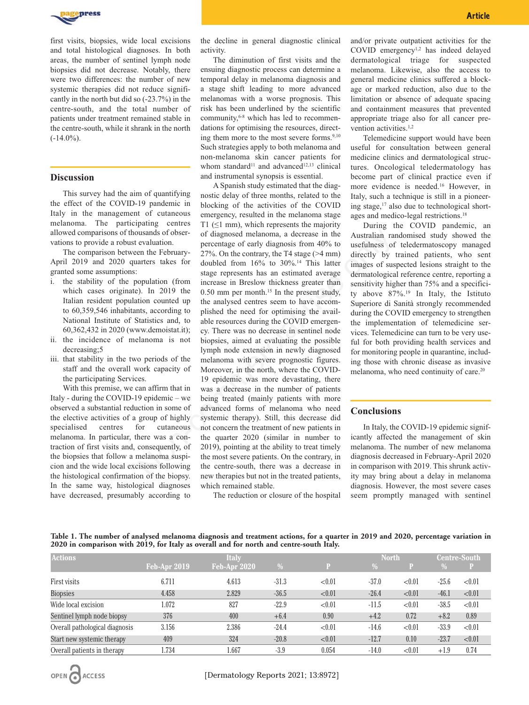

first visits, biopsies, wide local excisions and total histological diagnoses. In both areas, the number of sentinel lymph node biopsies did not decrease. Notably, there were two differences: the number of new systemic therapies did not reduce significantly in the north but did so (-23.7%) in the centre-south, and the total number of patients under treatment remained stable in the centre-south, while it shrank in the north  $(-14.0\%)$ .

# **Discussion**

This survey had the aim of quantifying the effect of the COVID-19 pandemic in Italy in the management of cutaneous melanoma. The participating centres allowed comparisons of thousands of observations to provide a robust evaluation.

The comparison between the February-April 2019 and 2020 quarters takes for granted some assumptions:

- i. the stability of the population (from which cases originate). In 2019 the Italian resident population counted up to 60,359,546 inhabitants, according to National Institute of Statistics and, to 60,362,432 in 2020 (www.demoistat.it);
- ii. the incidence of melanoma is not decreasing;5
- iii. that stability in the two periods of the staff and the overall work capacity of the participating Services.

With this premise, we can affirm that in Italy - during the COVID-19 epidemic – we observed a substantial reduction in some of the elective activities of a group of highly specialised centres for cutaneous melanoma. In particular, there was a contraction of first visits and, consequently, of the biopsies that follow a melanoma suspicion and the wide local excisions following the histological confirmation of the biopsy. In the same way, histological diagnoses have decreased, presumably according to

the decline in general diagnostic clinical activity.

The diminution of first visits and the ensuing diagnostic process can determine a temporal delay in melanoma diagnosis and a stage shift leading to more advanced melanomas with a worse prognosis. This risk has been underlined by the scientific community,6-8 which has led to recommendations for optimising the resources, directing them more to the most severe forms. $9,10$ Such strategies apply to both melanoma and non-melanoma skin cancer patients for whom standard<sup>11</sup> and advanced<sup>12,13</sup> clinical and instrumental synopsis is essential.

A Spanish study estimated that the diagnostic delay of three months, related to the blocking of the activities of the COVID emergency, resulted in the melanoma stage T1 ( $\leq$ 1 mm), which represents the majority of diagnosed melanoma, a decrease in the percentage of early diagnosis from 40% to 27%. On the contrary, the T4 stage (>4 mm) doubled from 16% to 30%.14 This latter stage represents has an estimated average increase in Breslow thickness greater than 0.50 mm per month.<sup>15</sup> In the present study, the analysed centres seem to have accomplished the need for optimising the available resources during the COVID emergency. There was no decrease in sentinel node biopsies, aimed at evaluating the possible lymph node extension in newly diagnosed melanoma with severe prognostic figures. Moreover, in the north, where the COVID-19 epidemic was more devastating, there was a decrease in the number of patients being treated (mainly patients with more advanced forms of melanoma who need systemic therapy). Still, this decrease did not concern the treatment of new patients in the quarter 2020 (similar in number to 2019), pointing at the ability to treat timely the most severe patients. On the contrary, in the centre-south, there was a decrease in new therapies but not in the treated patients, which remained stable. usands of obser-<br>of diagnosed melanoma, a decrease in the<br>evaluation.<br>evaluation.<br>enterchinge of early diagnosis from 40% to usefulness of<br>enters the February-<br> $27\%$ . On the contrary, the T4 stage  $(\approx 4 \text{ mm})$  directly by

The reduction or closure of the hospital

**Article** And Article And Article And Article And Article And Article

and/or private outpatient activities for the COVID emergency1,2 has indeed delayed dermatological triage for suspected melanoma. Likewise, also the access to general medicine clinics suffered a blockage or marked reduction, also due to the limitation or absence of adequate spacing and containment measures that prevented appropriate triage also for all cancer prevention activities.<sup>1,2</sup>

Telemedicine support would have been useful for consultation between general medicine clinics and dermatological structures. Oncological teledermatology has become part of clinical practice even if more evidence is needed.16 However, in Italy, such a technique is still in a pioneering stage, $17$  also due to technological shortages and medico-legal restrictions.18

During the COVID pandemic, an Australian randomised study showed the usefulness of teledermatoscopy managed directly by trained patients, who sent images of suspected lesions straight to the dermatological reference centre, reporting a sensitivity higher than 75% and a specificity above 87%.19 In Italy, the Istituto Superiore di Sanità strongly recommended during the COVID emergency to strengthen the implementation of telemedicine services. Telemedicine can turn to be very useful for both providing health services and for monitoring people in quarantine, including those with chronic disease as invasive melanoma, who need continuity of care.20

#### **Conclusions**

In Italy, the COVID-19 epidemic significantly affected the management of skin melanoma. The number of new melanoma diagnosis decreased in February-April 2020 in comparison with 2019. This shrunk activity may bring about a delay in melanoma diagnosis. However, the most severe cases seem promptly managed with sentinel

**Table 1. The number of analysed melanoma diagnosis and treatment actions, for a quarter in 2019 and 2020, percentage variation in 2020 in comparison with 2019, for Italy as overall and for north and centre-south Italy.**

| <b>Actions</b>                 | <b>Italy</b>   |              |         |        | <b>North</b> |        |         | <b>Centre-South</b> |  |
|--------------------------------|----------------|--------------|---------|--------|--------------|--------|---------|---------------------|--|
|                                | $Feb-Apr 2019$ | Feb-Apr 2020 | $\%$    | P      | $\%$         |        | $\%$    | P                   |  |
| First visits                   | 6.711          | 4.613        | $-31.3$ | < 0.01 | $-37.0$      | < 0.01 | $-25.6$ | < 0.01              |  |
| <b>Biopsies</b>                | 4.458          | 2.829        | $-36.5$ | < 0.01 | $-26.4$      | < 0.01 | $-46.1$ | < 0.01              |  |
| Wide local excision            | 1.072          | 827          | $-22.9$ | < 0.01 | $-11.5$      | < 0.01 | $-38.5$ | < 0.01              |  |
| Sentinel lymph node biopsy     | 376            | 400          | $+6.4$  | 0.90   | $+4.2$       | 0.72   | $+8.2$  | 0.89                |  |
| Overall pathological diagnosis | 3.156          | 2.386        | $-24.4$ | < 0.01 | $-14.6$      | < 0.01 | $-33.9$ | < 0.01              |  |
| Start new systemic therapy     | 409            | 324          | $-20.8$ | < 0.01 | $-12.7$      | 0.10   | $-23.7$ | < 0.01              |  |
| Overall patients in therapy    | 1.734          | 1.667        | $-3.9$  | 0.054  | $-14.0$      | < 0.01 | $+1.9$  | 0.74                |  |